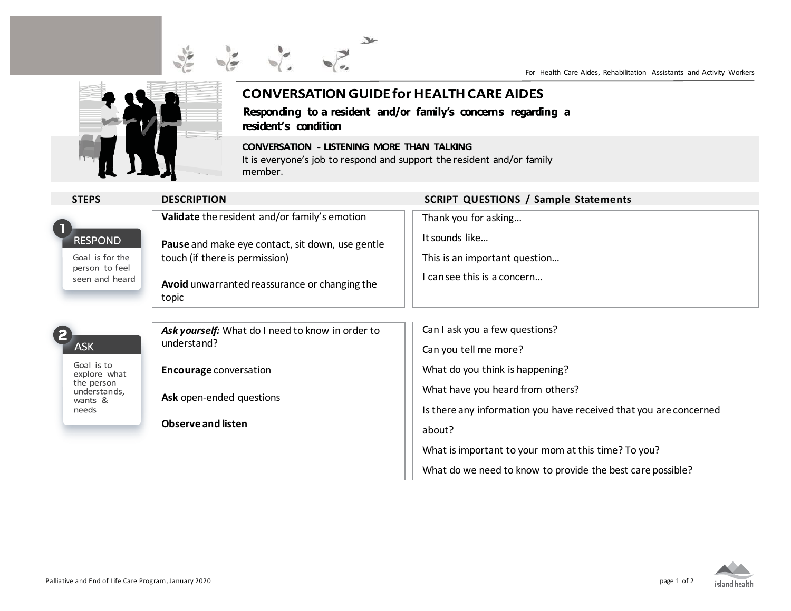

## **CONVERSATION GUIDE for HEALTH CARE AIDES** Responding to a resident and/or family's concerns regarding a

## resident's condition

**CONVERSATION - LISTENING MORE THAN TALKING** It is everyone's job to respond and support the resident and/or family member.

| <b>STEPS</b>                                                                 | <b>DESCRIPTION</b>                                                                                                                           | <b>SCRIPT QUESTIONS / Sample Statements</b>                                                           |
|------------------------------------------------------------------------------|----------------------------------------------------------------------------------------------------------------------------------------------|-------------------------------------------------------------------------------------------------------|
| <b>RESPOND</b><br>Goal is for the<br>person to feel<br>seen and heard        | Validate the resident and/or family's emotion                                                                                                | Thank you for asking                                                                                  |
|                                                                              | Pause and make eye contact, sit down, use gentle<br>touch (if there is permission)<br>Avoid unwarranted reassurance or changing the<br>topic | It sounds like<br>This is an important question<br>can see this is a concern                          |
|                                                                              |                                                                                                                                              |                                                                                                       |
| <b>ASK</b>                                                                   | Ask yourself: What do I need to know in order to<br>understand?                                                                              | Can I ask you a few questions?<br>Can you tell me more?                                               |
| Goal is to<br>explore what<br>the person<br>understands,<br>wants &<br>needs | <b>Encourage conversation</b>                                                                                                                | What do you think is happening?                                                                       |
|                                                                              | Ask open-ended questions                                                                                                                     | What have you heard from others?<br>Is there any information you have received that you are concerned |
|                                                                              | <b>Observe and listen</b>                                                                                                                    | about?                                                                                                |
|                                                                              |                                                                                                                                              | What is important to your mom at this time? To you?                                                   |
|                                                                              |                                                                                                                                              | What do we need to know to provide the best care possible?                                            |



For Health Care Aides, Rehabilitation Assistants and Activity Workers